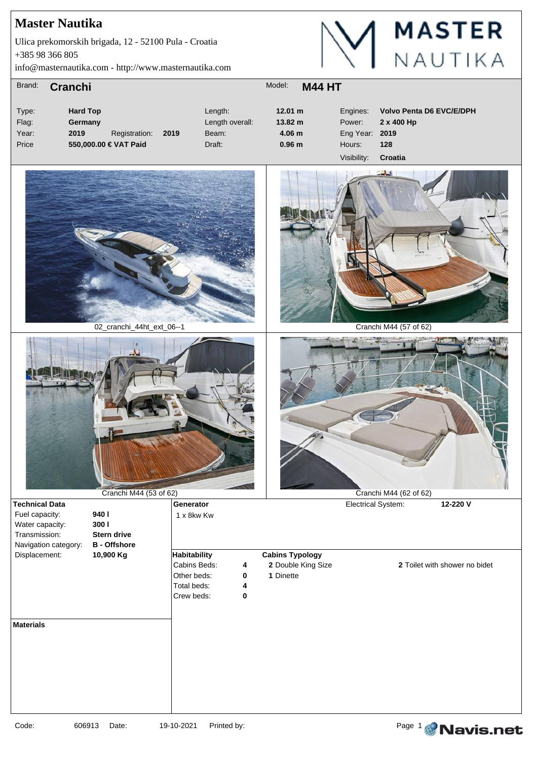+385 98 366 805 Ulica prekomorskih brigada, 12 - 52100 Pula - Croatia

info@masternautika.com - http://www.masternautika.com



| Brand: | <b>Cranchi</b>        |               |      | Model:<br><b>M44 HT</b> |                   |                |                                 |  |
|--------|-----------------------|---------------|------|-------------------------|-------------------|----------------|---------------------------------|--|
| Type:  | <b>Hard Top</b>       |               |      | Length:                 | 12.01 m           | Engines:       | <b>Volvo Penta D6 EVC/E/DPH</b> |  |
| Flag:  | Germany               |               |      | Length overall:         | $13.82 \text{ m}$ | Power:         | 2 x 400 Hp                      |  |
| Year:  | 2019                  | Registration: | 2019 | Beam:                   | 4.06 <sub>m</sub> | Eng Year: 2019 |                                 |  |
| Price  | 550,000.00 € VAT Paid |               |      | Draft:                  | 0.96 <sub>m</sub> | Hours:         | 128                             |  |
|        |                       |               |      |                         |                   | \/inihilit\/   | $C$ rootio                      |  |



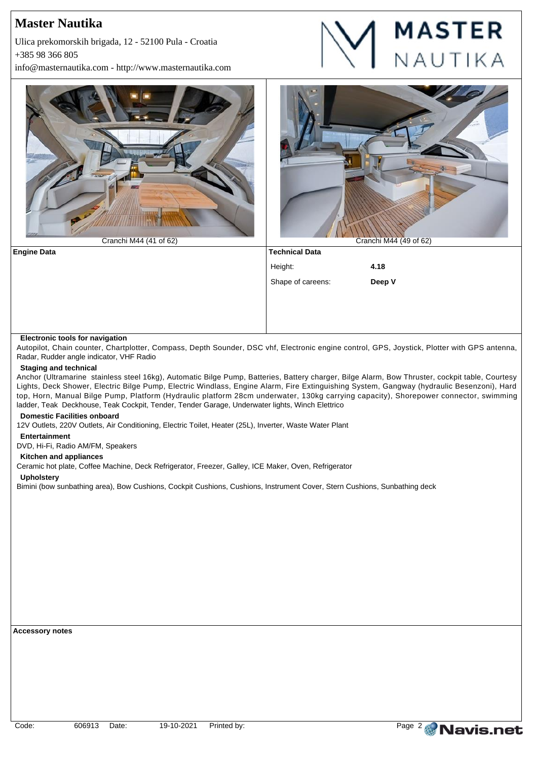+385 98 366 805 Ulica prekomorskih brigada, 12 - 52100 Pula - Croatia

info@masternautika.com - http://www.masternautika.com





### **Electronic tools for navigation**

Autopilot, Chain counter, Chartplotter, Compass, Depth Sounder, DSC vhf, Electronic engine control, GPS, Joystick, Plotter with GPS antenna, Radar, Rudder angle indicator, VHF Radio

### **Staging and technical**

Anchor (Ultramarine stainless steel 16kg), Automatic Bilge Pump, Batteries, Battery charger, Bilge Alarm, Bow Thruster, cockpit table, Courtesy Lights, Deck Shower, Electric Bilge Pump, Electric Windlass, Engine Alarm, Fire Extinguishing System, Gangway (hydraulic Besenzoni), Hard top, Horn, Manual Bilge Pump, Platform (Hydraulic platform 28cm underwater, 130kg carrying capacity), Shorepower connector, swimming ladder, Teak Deckhouse, Teak Cockpit, Tender, Tender Garage, Underwater lights, Winch Elettrico

### **Domestic Facilities onboard**

12V Outlets, 220V Outlets, Air Conditioning, Electric Toilet, Heater (25L), Inverter, Waste Water Plant

### **Entertainment**

DVD, Hi-Fi, Radio AM/FM, Speakers

#### **Kitchen and appliances**

Ceramic hot plate, Coffee Machine, Deck Refrigerator, Freezer, Galley, ICE Maker, Oven, Refrigerator

#### **Upholstery**

Bimini (bow sunbathing area), Bow Cushions, Cockpit Cushions, Cushions, Instrument Cover, Stern Cushions, Sunbathing deck

**Accessory notes**

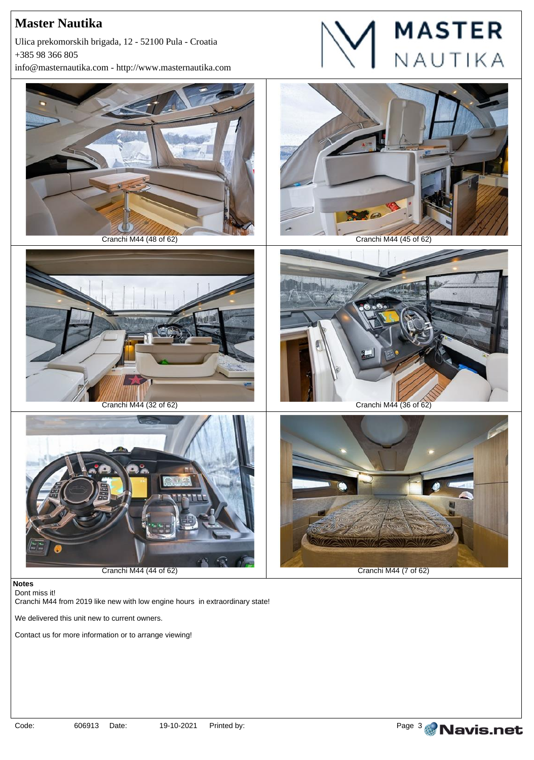+385 98 366 805 Ulica prekomorskih brigada, 12 - 52100 Pula - Croatia

info@masternautika.com - http://www.masternautika.com





#### **Notes** Dont miss it!

Cranchi M44 from 2019 like new with low engine hours in extraordinary state!

We delivered this unit new to current owners.

Contact us for more information or to arrange viewing!



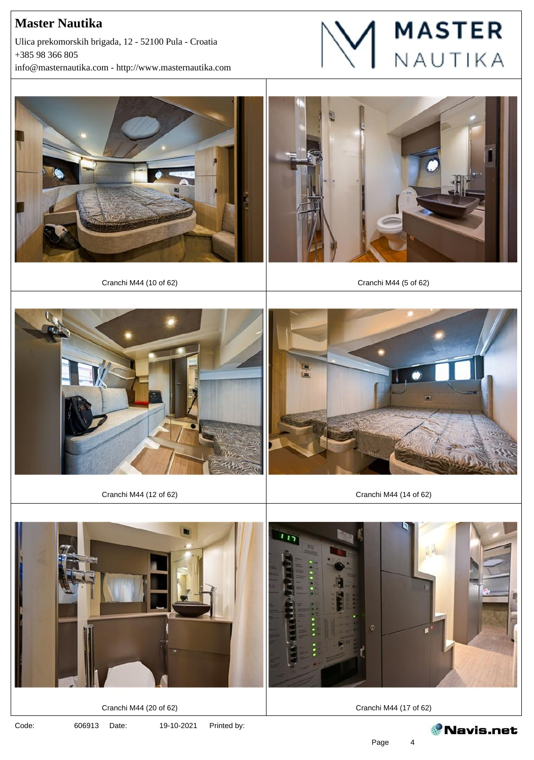+385 98 366 805 info@masternautika.com - http://www.masternautika.com Ulica prekomorskih brigada, 12 - 52100 Pula - Croatia







Cranchi M44 (10 of 62) Cranchi M44 (5 of 62)







Cranchi M44 (12 of 62) Cranchi M44 (14 of 62)



4